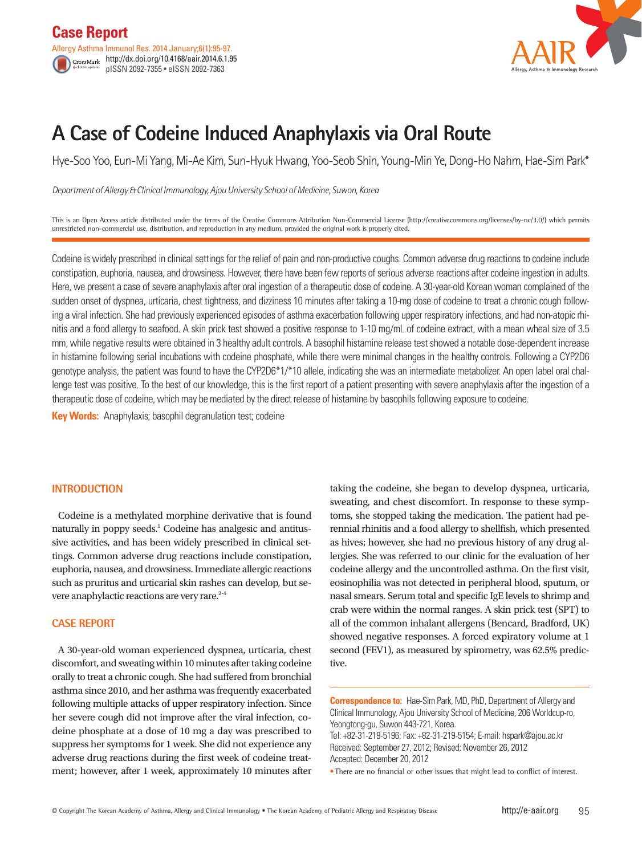

# **A Case of Codeine Induced Anaphylaxis via Oral Route**

Hye-Soo Yoo, Eun-Mi Yang, Mi-Ae Kim, Sun-Hyuk Hwang, Yoo-Seob Shin, Young-Min Ye, Dong-Ho Nahm, Hae-Sim Park\*

*Department of Allergy & Clinical Immunology, Ajou University School of Medicine, Suwon, Korea*

This is an Open Access article distributed under the terms of the Creative Commons Attribution Non-Commercial License (http://creativecommons.org/licenses/by-nc/3.0/) which permits unrestricted non-commercial use, distribution, and reproduction in any medium, provided the original work is properly cited.

Codeine is widely prescribed in clinical settings for the relief of pain and non-productive coughs. Common adverse drug reactions to codeine include constipation, euphoria, nausea, and drowsiness. However, there have been few reports of serious adverse reactions after codeine ingestion in adults. Here, we present a case of severe anaphylaxis after oral ingestion of a therapeutic dose of codeine. A 30-year-old Korean woman complained of the sudden onset of dyspnea, urticaria, chest tightness, and dizziness 10 minutes after taking a 10-mg dose of codeine to treat a chronic cough following a viral infection. She had previously experienced episodes of asthma exacerbation following upper respiratory infections, and had non-atopic rhinitis and a food allergy to seafood. A skin prick test showed a positive response to 1-10 mg/mL of codeine extract, with a mean wheal size of 3.5 mm, while negative results were obtained in 3 healthy adult controls. A basophil histamine release test showed a notable dose-dependent increase in histamine following serial incubations with codeine phosphate, while there were minimal changes in the healthy controls. Following a CYP2D6 genotype analysis, the patient was found to have the CYP2D6\*1/\*10 allele, indicating she was an intermediate metabolizer. An open label oral challenge test was positive. To the best of our knowledge, this is the first report of a patient presenting with severe anaphylaxis after the ingestion of a therapeutic dose of codeine, which may be mediated by the direct release of histamine by basophils following exposure to codeine.

**Key Words:** Anaphylaxis; basophil degranulation test; codeine

## **INTRODUCTION**

Codeine is a methylated morphine derivative that is found naturally in poppy seeds.<sup>1</sup> Codeine has analgesic and antitussive activities, and has been widely prescribed in clinical settings. Common adverse drug reactions include constipation, euphoria, nausea, and drowsiness. Immediate allergic reactions such as pruritus and urticarial skin rashes can develop, but severe anaphylactic reactions are very rare.<sup>2-4</sup>

# **CASE REPORT**

A 30-year-old woman experienced dyspnea, urticaria, chest discomfort, and sweating within 10 minutes after taking codeine orally to treat a chronic cough. She had suffered from bronchial asthma since 2010, and her asthma was frequently exacerbated following multiple attacks of upper respiratory infection. Since her severe cough did not improve after the viral infection, codeine phosphate at a dose of 10 mg a day was prescribed to suppress her symptoms for 1 week. She did not experience any adverse drug reactions during the first week of codeine treatment; however, after 1 week, approximately 10 minutes after

taking the codeine, she began to develop dyspnea, urticaria, sweating, and chest discomfort. In response to these symptoms, she stopped taking the medication. The patient had perennial rhinitis and a food allergy to shellfish, which presented as hives; however, she had no previous history of any drug allergies. She was referred to our clinic for the evaluation of her codeine allergy and the uncontrolled asthma. On the first visit, eosinophilia was not detected in peripheral blood, sputum, or nasal smears. Serum total and specific IgE levels to shrimp and crab were within the normal ranges. A skin prick test (SPT) to all of the common inhalant allergens (Bencard, Bradford, UK) showed negative responses. A forced expiratory volume at 1 second (FEV1), as measured by spirometry, was 62.5% predictive.

**Correspondence to:** Hae-Sim Park, MD, PhD, Department of Allergy and Clinical Immunology, Ajou University School of Medicine, 206 Worldcup-ro, Yeongtong-gu, Suwon 443-721, Korea.

Tel: +82-31-219-5196; Fax: +82-31-219-5154; E-mail: hspark@ajou.ac.kr Received: September 27, 2012; Revised: November 26, 2012 Accepted: December 20, 2012

•There are no financial or other issues that might lead to conflict of interest.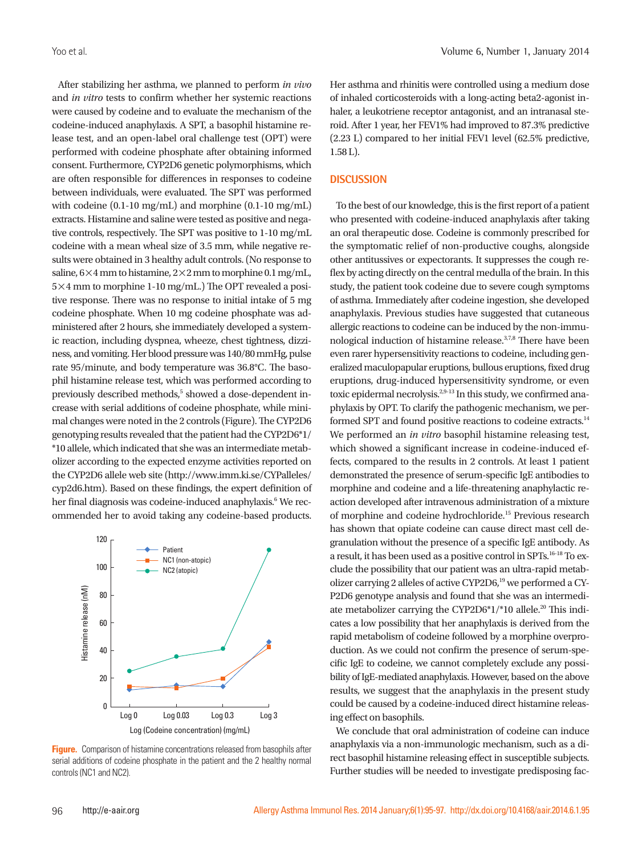After stabilizing her asthma, we planned to perform *in vivo* and *in vitro* tests to confirm whether her systemic reactions were caused by codeine and to evaluate the mechanism of the codeine-induced anaphylaxis. A SPT, a basophil histamine release test, and an open-label oral challenge test (OPT) were performed with codeine phosphate after obtaining informed consent. Furthermore, CYP2D6 genetic polymorphisms, which are often responsible for differences in responses to codeine between individuals, were evaluated. The SPT was performed with codeine (0.1-10 mg/mL) and morphine (0.1-10 mg/mL) extracts. Histamine and saline were tested as positive and negative controls, respectively. The SPT was positive to 1-10 mg/mL codeine with a mean wheal size of 3.5 mm, while negative results were obtained in 3 healthy adult controls. (No response to saline,  $6\times4$  mm to histamine,  $2\times2$  mm to morphine 0.1 mg/mL, 5×4 mm to morphine 1-10 mg/mL.) The OPT revealed a positive response. There was no response to initial intake of 5 mg codeine phosphate. When 10 mg codeine phosphate was administered after 2 hours, she immediately developed a systemic reaction, including dyspnea, wheeze, chest tightness, dizziness, and vomiting. Her blood pressure was 140/80 mmHg, pulse rate 95/minute, and body temperature was 36.8°C. The basophil histamine release test, which was performed according to previously described methods,<sup>5</sup> showed a dose-dependent increase with serial additions of codeine phosphate, while minimal changes were noted in the 2 controls (Figure). The CYP2D6 genotyping results revealed that the patient had the CYP2D6\*1/ \*10 allele, which indicated that she was an intermediate metabolizer according to the expected enzyme activities reported on the CYP2D6 allele web site (http://www.imm.ki.se/CYPalleles/ cyp2d6.htm). Based on these findings, the expert definition of her final diagnosis was codeine-induced anaphylaxis.<sup>6</sup> We recommended her to avoid taking any codeine-based products.



**Figure.** Comparison of histamine concentrations released from basophils after serial additions of codeine phosphate in the patient and the 2 healthy normal controls (NC1 and NC2).

Her asthma and rhinitis were controlled using a medium dose of inhaled corticosteroids with a long-acting beta2-agonist inhaler, a leukotriene receptor antagonist, and an intranasal steroid. After 1 year, her FEV1% had improved to 87.3% predictive (2.23 L) compared to her initial FEV1 level (62.5% predictive, 1.58 L).

#### **DISCUSSION**

To the best of our knowledge, this is the first report of a patient who presented with codeine-induced anaphylaxis after taking an oral therapeutic dose. Codeine is commonly prescribed for the symptomatic relief of non-productive coughs, alongside other antitussives or expectorants. It suppresses the cough reflex by acting directly on the central medulla of the brain. In this study, the patient took codeine due to severe cough symptoms of asthma. Immediately after codeine ingestion, she developed anaphylaxis. Previous studies have suggested that cutaneous allergic reactions to codeine can be induced by the non-immunological induction of histamine release.3,7,8 There have been even rarer hypersensitivity reactions to codeine, including generalized maculopapular eruptions, bullous eruptions, fixed drug eruptions, drug-induced hypersensitivity syndrome, or even toxic epidermal necrolysis.<sup>2,9-13</sup> In this study, we confirmed anaphylaxis by OPT. To clarify the pathogenic mechanism, we performed SPT and found positive reactions to codeine extracts.<sup>14</sup> We performed an *in vitro* basophil histamine releasing test, which showed a significant increase in codeine-induced effects, compared to the results in 2 controls. At least 1 patient demonstrated the presence of serum-specific IgE antibodies to morphine and codeine and a life-threatening anaphylactic reaction developed after intravenous administration of a mixture of morphine and codeine hydrochloride.15 Previous research has shown that opiate codeine can cause direct mast cell degranulation without the presence of a specific IgE antibody. As a result, it has been used as a positive control in SPTs.16-18 To exclude the possibility that our patient was an ultra-rapid metabolizer carrying 2 alleles of active CYP2D6,<sup>19</sup> we performed a CY-P2D6 genotype analysis and found that she was an intermediate metabolizer carrying the CYP2D6\*1/\*10 allele.<sup>20</sup> This indicates a low possibility that her anaphylaxis is derived from the rapid metabolism of codeine followed by a morphine overproduction. As we could not confirm the presence of serum-specific IgE to codeine, we cannot completely exclude any possibility of IgE-mediated anaphylaxis. However, based on the above results, we suggest that the anaphylaxis in the present study could be caused by a codeine-induced direct histamine releasing effect on basophils.

We conclude that oral administration of codeine can induce anaphylaxis via a non-immunologic mechanism, such as a direct basophil histamine releasing effect in susceptible subjects. Further studies will be needed to investigate predisposing fac